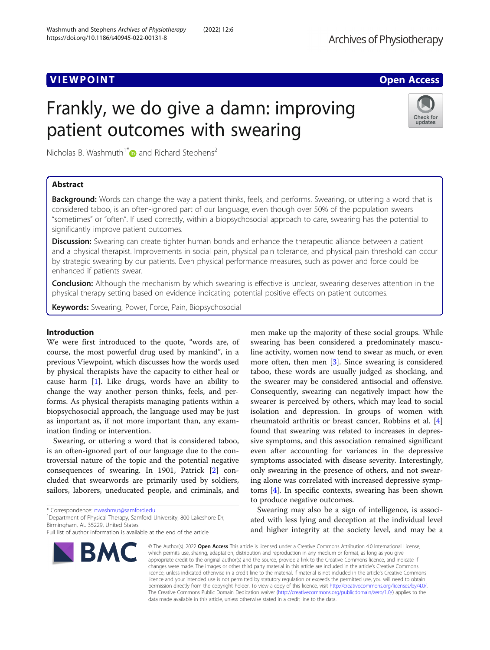# Frankly, we do give a damn: improving patient outcomes with swearing

Nicholas B. Washmuth<sup>1[\\*](http://orcid.org/0000-0003-1511-2331)</sup> and Richard Stephens<sup>2</sup>

# Abstract

Background: Words can change the way a patient thinks, feels, and performs. Swearing, or uttering a word that is considered taboo, is an often-ignored part of our language, even though over 50% of the population swears "sometimes" or "often". If used correctly, within a biopsychosocial approach to care, swearing has the potential to significantly improve patient outcomes.

Discussion: Swearing can create tighter human bonds and enhance the therapeutic alliance between a patient and a physical therapist. Improvements in social pain, physical pain tolerance, and physical pain threshold can occur by strategic swearing by our patients. Even physical performance measures, such as power and force could be enhanced if patients swear.

**Conclusion:** Although the mechanism by which swearing is effective is unclear, swearing deserves attention in the physical therapy setting based on evidence indicating potential positive effects on patient outcomes.

Keywords: Swearing, Power, Force, Pain, Biopsychosocial

# Introduction

We were first introduced to the quote, "words are, of course, the most powerful drug used by mankind", in a previous Viewpoint, which discusses how the words used by physical therapists have the capacity to either heal or cause harm [\[1](#page-2-0)]. Like drugs, words have an ability to change the way another person thinks, feels, and performs. As physical therapists managing patients within a biopsychosocial approach, the language used may be just as important as, if not more important than, any examination finding or intervention.

Swearing, or uttering a word that is considered taboo, is an often-ignored part of our language due to the controversial nature of the topic and the potential negative consequences of swearing. In 1901, Patrick [[2\]](#page-2-0) concluded that swearwords are primarily used by soldiers, sailors, laborers, uneducated people, and criminals, and

\* Correspondence: [nwashmut@samford.edu](mailto:nwashmut@samford.edu) <sup>1</sup>

<sup>1</sup> Department of Physical Therapy, Samford University, 800 Lakeshore Dr, Birmingham, AL 35229, United States

swearing has been considered a predominately masculine activity, women now tend to swear as much, or even more often, then men [\[3](#page-2-0)]. Since swearing is considered taboo, these words are usually judged as shocking, and the swearer may be considered antisocial and offensive. Consequently, swearing can negatively impact how the swearer is perceived by others, which may lead to social isolation and depression. In groups of women with rheumatoid arthritis or breast cancer, Robbins et al. [\[4](#page-2-0)] found that swearing was related to increases in depressive symptoms, and this association remained significant even after accounting for variances in the depressive symptoms associated with disease severity. Interestingly, only swearing in the presence of others, and not swearing alone was correlated with increased depressive symptoms [[4\]](#page-2-0). In specific contexts, swearing has been shown to produce negative outcomes.

men make up the majority of these social groups. While

Swearing may also be a sign of intelligence, is associated with less lying and deception at the individual level and higher integrity at the society level, and may be a

© The Author(s), 2022 **Open Access** This article is licensed under a Creative Commons Attribution 4.0 International License, which permits use, sharing, adaptation, distribution and reproduction in any medium or format, as long as you give appropriate credit to the original author(s) and the source, provide a link to the Creative Commons licence, and indicate if changes were made. The images or other third party material in this article are included in the article's Creative Commons licence, unless indicated otherwise in a credit line to the material. If material is not included in the article's Creative Commons licence and your intended use is not permitted by statutory regulation or exceeds the permitted use, you will need to obtain permission directly from the copyright holder. To view a copy of this licence, visit [http://creativecommons.org/licenses/by/4.0/.](http://creativecommons.org/licenses/by/4.0/) The Creative Commons Public Domain Dedication waiver [\(http://creativecommons.org/publicdomain/zero/1.0/](http://creativecommons.org/publicdomain/zero/1.0/)) applies to the data made available in this article, unless otherwise stated in a credit line to the data.

# Washmuth and Stephens Archives of Physiotherapy (2022) 12:6 https://doi.org/10.1186/s40945-022-00131-8







Full list of author information is available at the end of the article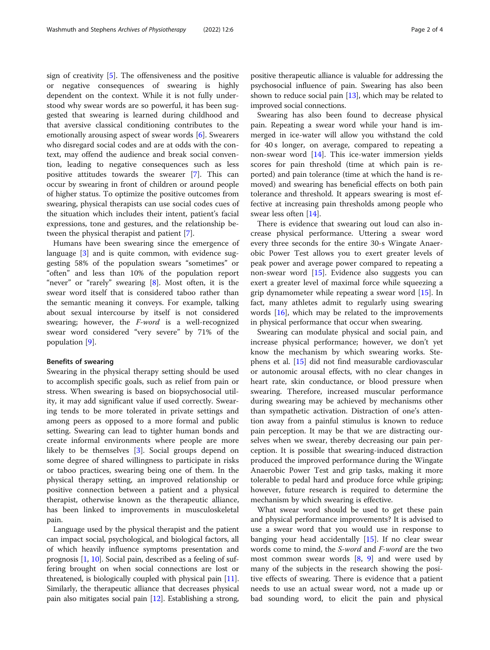sign of creativity [[5\]](#page-2-0). The offensiveness and the positive or negative consequences of swearing is highly dependent on the context. While it is not fully understood why swear words are so powerful, it has been suggested that swearing is learned during childhood and that aversive classical conditioning contributes to the emotionally arousing aspect of swear words [\[6](#page-2-0)]. Swearers who disregard social codes and are at odds with the context, may offend the audience and break social convention, leading to negative consequences such as less positive attitudes towards the swearer [[7\]](#page-2-0). This can occur by swearing in front of children or around people of higher status. To optimize the positive outcomes from swearing, physical therapists can use social codes cues of the situation which includes their intent, patient's facial expressions, tone and gestures, and the relationship between the physical therapist and patient [\[7](#page-2-0)].

Humans have been swearing since the emergence of language [\[3](#page-2-0)] and is quite common, with evidence suggesting 58% of the population swears "sometimes" or "often" and less than 10% of the population report "never" or "rarely" swearing [\[8\]](#page-2-0). Most often, it is the swear word itself that is considered taboo rather than the semantic meaning it conveys. For example, talking about sexual intercourse by itself is not considered swearing; however, the F-word is a well-recognized swear word considered "very severe" by 71% of the population [[9\]](#page-2-0).

## Benefits of swearing

Swearing in the physical therapy setting should be used to accomplish specific goals, such as relief from pain or stress. When swearing is based on biopsychosocial utility, it may add significant value if used correctly. Swearing tends to be more tolerated in private settings and among peers as opposed to a more formal and public setting. Swearing can lead to tighter human bonds and create informal environments where people are more likely to be themselves [[3\]](#page-2-0). Social groups depend on some degree of shared willingness to participate in risks or taboo practices, swearing being one of them. In the physical therapy setting, an improved relationship or positive connection between a patient and a physical therapist, otherwise known as the therapeutic alliance, has been linked to improvements in musculoskeletal pain.

Language used by the physical therapist and the patient can impact social, psychological, and biological factors, all of which heavily influence symptoms presentation and prognosis [\[1,](#page-2-0) [10](#page-2-0)]. Social pain, described as a feeling of suffering brought on when social connections are lost or threatened, is biologically coupled with physical pain [[11](#page-3-0)]. Similarly, the therapeutic alliance that decreases physical pain also mitigates social pain [[12](#page-3-0)]. Establishing a strong,

positive therapeutic alliance is valuable for addressing the psychosocial influence of pain. Swearing has also been shown to reduce social pain  $[13]$ , which may be related to improved social connections.

Swearing has also been found to decrease physical pain. Repeating a swear word while your hand is immerged in ice-water will allow you withstand the cold for 40 s longer, on average, compared to repeating a non-swear word [\[14](#page-3-0)]. This ice-water immersion yields scores for pain threshold (time at which pain is reported) and pain tolerance (time at which the hand is removed) and swearing has beneficial effects on both pain tolerance and threshold. It appears swearing is most effective at increasing pain thresholds among people who swear less often [\[14](#page-3-0)].

There is evidence that swearing out loud can also increase physical performance. Uttering a swear word every three seconds for the entire 30-s Wingate Anaerobic Power Test allows you to exert greater levels of peak power and average power compared to repeating a non-swear word [[15\]](#page-3-0). Evidence also suggests you can exert a greater level of maximal force while squeezing a grip dynamometer while repeating a swear word [\[15](#page-3-0)]. In fact, many athletes admit to regularly using swearing words  $[16]$  $[16]$  $[16]$ , which may be related to the improvements in physical performance that occur when swearing.

Swearing can modulate physical and social pain, and increase physical performance; however, we don't yet know the mechanism by which swearing works. Stephens et al. [[15\]](#page-3-0) did not find measurable cardiovascular or autonomic arousal effects, with no clear changes in heart rate, skin conductance, or blood pressure when swearing. Therefore, increased muscular performance during swearing may be achieved by mechanisms other than sympathetic activation. Distraction of one's attention away from a painful stimulus is known to reduce pain perception. It may be that we are distracting ourselves when we swear, thereby decreasing our pain perception. It is possible that swearing-induced distraction produced the improved performance during the Wingate Anaerobic Power Test and grip tasks, making it more tolerable to pedal hard and produce force while griping; however, future research is required to determine the mechanism by which swearing is effective.

What swear word should be used to get these pain and physical performance improvements? It is advised to use a swear word that you would use in response to banging your head accidentally [\[15\]](#page-3-0). If no clear swear words come to mind, the S-word and F-word are the two most common swear words [[8,](#page-2-0) [9](#page-2-0)] and were used by many of the subjects in the research showing the positive effects of swearing. There is evidence that a patient needs to use an actual swear word, not a made up or bad sounding word, to elicit the pain and physical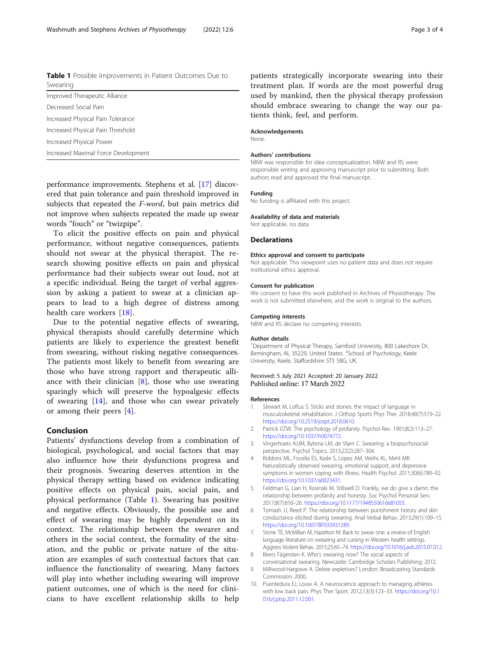<span id="page-2-0"></span>Table 1 Possible Improvements in Patient Outcomes Due to Swearing

| Improved Therapeutic Alliance       |  |
|-------------------------------------|--|
| Decreased Social Pain               |  |
| Increased Physical Pain Tolerance   |  |
| Increased Physical Pain Threshold   |  |
| Increased Physical Power            |  |
| Increased Maximal Force Development |  |

performance improvements. Stephens et al. [[17](#page-3-0)] discovered that pain tolerance and pain threshold improved in subjects that repeated the *F-word*, but pain metrics did not improve when subjects repeated the made up swear words "fouch" or "twizpipe".

To elicit the positive effects on pain and physical performance, without negative consequences, patients should not swear at the physical therapist. The research showing positive effects on pain and physical performance had their subjects swear out loud, not at a specific individual. Being the target of verbal aggression by asking a patient to swear at a clinician appears to lead to a high degree of distress among health care workers [[18\]](#page-3-0).

Due to the potential negative effects of swearing, physical therapists should carefully determine which patients are likely to experience the greatest benefit from swearing, without risking negative consequences. The patients most likely to benefit from swearing are those who have strong rapport and therapeutic alliance with their clinician  $[8]$ , those who use swearing sparingly which will preserve the hypoalgesic effects of swearing [[14](#page-3-0)], and those who can swear privately or among their peers [4].

## Conclusion

Patients' dysfunctions develop from a combination of biological, psychological, and social factors that may also influence how their dysfunctions progress and their prognosis. Swearing deserves attention in the physical therapy setting based on evidence indicating positive effects on physical pain, social pain, and physical performance (Table 1). Swearing has positive and negative effects. Obviously, the possible use and effect of swearing may be highly dependent on its context. The relationship between the swearer and others in the social context, the formality of the situation, and the public or private nature of the situation are examples of such contextual factors that can influence the functionality of swearing. Many factors will play into whether including swearing will improve patient outcomes, one of which is the need for clinicians to have excellent relationship skills to help patients strategically incorporate swearing into their treatment plan. If words are the most powerful drug used by mankind, then the physical therapy profession should embrace swearing to change the way our patients think, feel, and perform.

## Acknowledgements

None.

#### Authors' contributions

NBW was responsible for idea conceptualization. NBW and RS were responsible writing and approving manuscript prior to submitting. Both authors read and approved the final manuscript.

#### Funding

No funding is affiliated with this project.

Availability of data and materials

Not applicable, no data.

#### Declarations

#### Ethics approval and consent to participate

Not applicable. This viewpoint uses no patient data and does not require institutional ethics approval.

#### Consent for publication

We consent to have this work published in Archives of Physiotherapy. The work is not submitted elsewhere, and the work is original to the authors.

#### Competing interests

NBW and RS declare no competing interests.

#### Author details

<sup>1</sup>Department of Physical Therapy, Samford University, 800 Lakeshore Dr Birmingham, AL 35229, United States. <sup>2</sup>School of Psychology, Keele University, Keele, Staffordshire ST5 5BG, UK.

### Received: 5 July 2021 Accepted: 20 January 2022 Published online: 17 March 2022

#### References

- 1. Stewart M, Loftus S. Sticks and stones: the impact of language in musculoskeletal rehabilitation. J Orthop Sports Phys Ther. 2018;48(7):519–22. <https://doi.org/10.2519/jospt.2018.0610>.
- 2. Patrick GTW. The psychology of profanity. Psychol Rev. 1901;8(2):113–27. [https://doi.org/10.1037/h0074772.](https://doi.org/10.1037/h0074772)
- 3. Vingerhoets AJJM, Bylsma LM, de Vlam C. Swearing: a biopsychosocial perspective. Psychol Topics. 2013;22(2):287–304.
- 4. Robbins ML, Focella ES, Kasle S, Lopez AM, Weihs KL, Mehl MR. Naturalistically observed swearing, emotional support, and depressive symptoms in women coping with illness. Health Psychol. 2011;30(6):789–92. <https://doi.org/10.1037/a0023431>.
- 5. Feldman G, Lian H, Kosinski M, Stillwell D. Frankly, we do give a damn: the relationship between profanity and honesty. Soc Psychol Personal Serv. 2017;8(7):816–26. <https://doi.org/10.1177/1948550616681055>.
- 6. Tomash JJ, Reed P. The relationship between punishment history and skin conductance elicited during swearing. Anal Verbal Behav. 2013;29(1):109–15. <https://doi.org/10.1007/BF033931289>.
- Stone TE, McMillan M, Hazelton M. Back to swear one: a review of English language literature on swearing and cursing in Western health settings. Aggress Violent Behav. 2015;25:65–74. [https://doi.org/10.1016/j.avb.2015.07.012.](https://doi.org/10.1016/j.avb.2015.07.012)
- 8. Beers Fägersten K. Who's swearing now? The social aspects of conversational swearing. Newcastle: Cambridge Scholars Publishing; 2012.
- 9. Millwood-Hargrave A. Delete expletives? London: Broadcasting Standards Commission; 2000.
- 10. Puentedura EJ, Louw A. A neuroscience approach to managing athletes with low back pain. Phys Ther Sport. 2012;13(3):123–33. [https://doi.org/10.1](https://doi.org/10.1016/j.ptsp.2011.12.001) [016/j.ptsp.2011.12.001.](https://doi.org/10.1016/j.ptsp.2011.12.001)